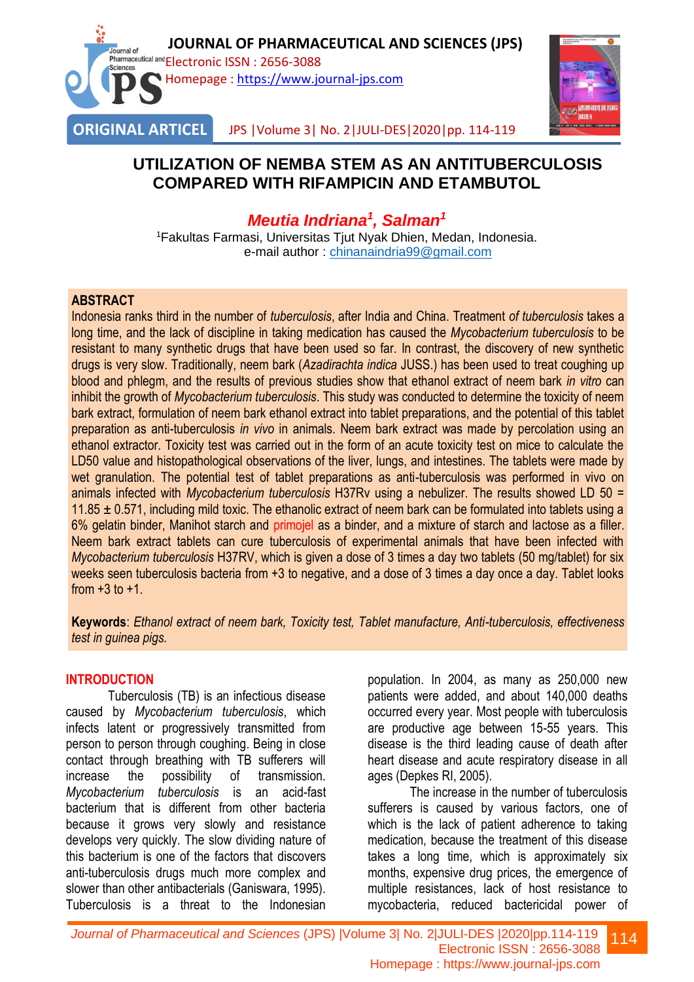



JPS |Volume 3| No. 2|JULI-DES|2020|pp. 114-119

## **UTILIZATION OF NEMBA STEM AS AN ANTITUBERCULOSIS COMPARED WITH RIFAMPICIN AND ETAMBUTOL**

# *Meutia Indriana<sup>1</sup> , Salman<sup>1</sup>*

<sup>1</sup>Fakultas Farmasi, Universitas Tjut Nyak Dhien, Medan, Indonesia. e-mail author : [chinanaindria99@gmail.com](mailto:chinanaindria99@gmail.com)

#### **ABSTRACT**

Indonesia ranks third in the number of *tuberculosis*, after India and China. Treatment *of tuberculosis* takes a long time, and the lack of discipline in taking medication has caused the *Mycobacterium tuberculosis* to be resistant to many synthetic drugs that have been used so far. In contrast, the discovery of new synthetic drugs is very slow. Traditionally, neem bark (*Azadirachta indica* JUSS.) has been used to treat coughing up blood and phlegm, and the results of previous studies show that ethanol extract of neem bark *in vitro* can inhibit the growth of *Mycobacterium tuberculosis*. This study was conducted to determine the toxicity of neem bark extract, formulation of neem bark ethanol extract into tablet preparations, and the potential of this tablet preparation as anti-tuberculosis *in vivo* in animals. Neem bark extract was made by percolation using an ethanol extractor. Toxicity test was carried out in the form of an acute toxicity test on mice to calculate the LD50 value and histopathological observations of the liver, lungs, and intestines. The tablets were made by wet granulation. The potential test of tablet preparations as anti-tuberculosis was performed in vivo on animals infected with *Mycobacterium tuberculosis* H37Rv using a nebulizer. The results showed LD 50 = 11.85  $\pm$  0.571, including mild toxic. The ethanolic extract of neem bark can be formulated into tablets using a 6% gelatin binder, Manihot starch and primojel as a binder, and a mixture of starch and lactose as a filler. Neem bark extract tablets can cure tuberculosis of experimental animals that have been infected with *Mycobacterium tuberculosis* H37RV, which is given a dose of 3 times a day two tablets (50 mg/tablet) for six weeks seen tuberculosis bacteria from +3 to negative, and a dose of 3 times a day once a day. Tablet looks from  $+3$  to  $+1$ .

**Keywords**: *Ethanol extract of neem bark, Toxicity test, Tablet manufacture, Anti-tuberculosis, effectiveness test in guinea pigs.*

#### **INTRODUCTION**

Tuberculosis (TB) is an infectious disease caused by *Mycobacterium tuberculosis*, which infects latent or progressively transmitted from person to person through coughing. Being in close contact through breathing with TB sufferers will increase the possibility of transmission. *Mycobacterium tuberculosis* is an acid-fast bacterium that is different from other bacteria because it grows very slowly and resistance develops very quickly. The slow dividing nature of this bacterium is one of the factors that discovers anti-tuberculosis drugs much more complex and slower than other antibacterials (Ganiswara, 1995). Tuberculosis is a threat to the Indonesian

population. In 2004, as many as 250,000 new patients were added, and about 140,000 deaths occurred every year. Most people with tuberculosis are productive age between 15-55 years. This disease is the third leading cause of death after heart disease and acute respiratory disease in all ages (Depkes RI, 2005).

The increase in the number of tuberculosis sufferers is caused by various factors, one of which is the lack of patient adherence to taking medication, because the treatment of this disease takes a long time, which is approximately six months, expensive drug prices, the emergence of multiple resistances, lack of host resistance to mycobacteria, reduced bactericidal power of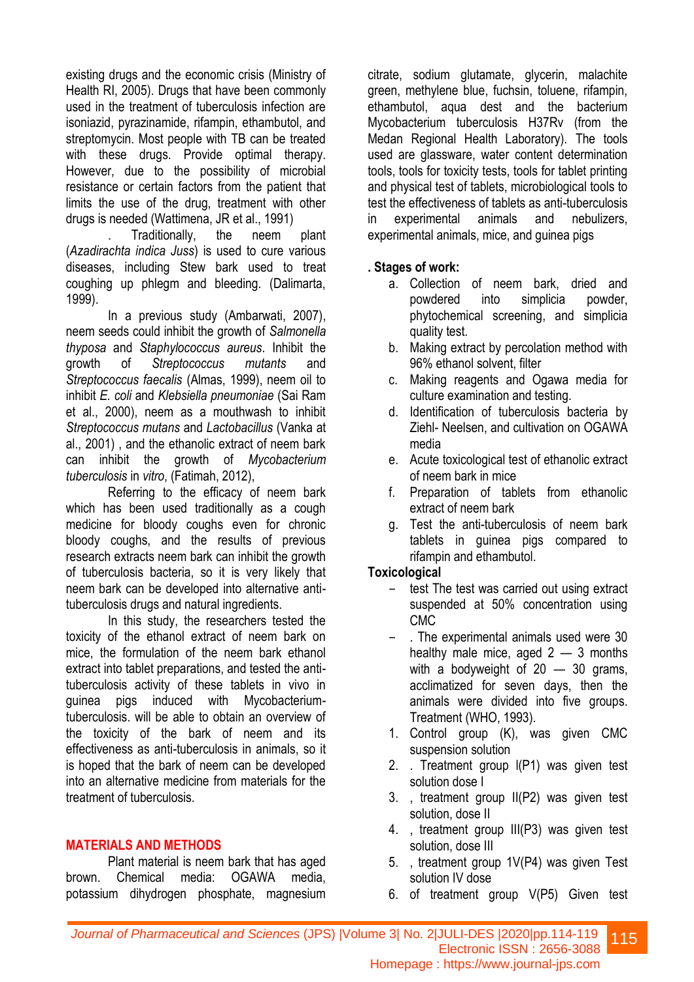existing drugs and the economic crisis (Ministry of Health RI, 2005). Drugs that have been commonly used in the treatment of tuberculosis infection are isoniazid, pyrazinamide, rifampin, ethambutol, and streptomycin. Most people with TB can be treated with these drugs. Provide optimal therapy. However, due to the possibility of microbial resistance or certain factors from the patient that limits the use of the drug, treatment with other drugs is needed (Wattimena, JR et al., 1991)

. Traditionally, the neem plant (*Azadirachta indica Juss*) is used to cure various diseases, including Stew bark used to treat coughing up phlegm and bleeding. (Dalimarta, 1999).

In a previous study (Ambarwati, 2007), neem seeds could inhibit the growth of *Salmonella thyposa* and *Staphylococcus aureus*. Inhibit the growth of *Streptococcus mutants* and *Streptococcus faecalis* (Almas, 1999), neem oil to inhibit *E. coli* and *Klebsiella pneumoniae* (Sai Ram et al., 2000), neem as a mouthwash to inhibit *Streptococcus mutans* and *Lactobacillus* (Vanka at al., 2001) , and the ethanolic extract of neem bark can inhibit the growth of *Mycobacterium tuberculosis* in *vitro*, (Fatimah, 2012),

Referring to the efficacy of neem bark which has been used traditionally as a cough medicine for bloody coughs even for chronic bloody coughs, and the results of previous research extracts neem bark can inhibit the growth of tuberculosis bacteria, so it is very likely that neem bark can be developed into alternative antituberculosis drugs and natural ingredients.

In this study, the researchers tested the toxicity of the ethanol extract of neem bark on mice, the formulation of the neem bark ethanol extract into tablet preparations, and tested the antituberculosis activity of these tablets in vivo in guinea pigs induced with Mycobacteriumtuberculosis. will be able to obtain an overview of the toxicity of the bark of neem and its effectiveness as anti-tuberculosis in animals, so it is hoped that the bark of neem can be developed into an alternative medicine from materials for the treatment of tuberculosis.

#### **MATERIALS AND METHODS**

Plant material is neem bark that has aged brown. Chemical media: OGAWA media, potassium dihydrogen phosphate, magnesium citrate, sodium glutamate, glycerin, malachite green, methylene blue, fuchsin, toluene, rifampin, ethambutol, aqua dest and the bacterium Mycobacterium tuberculosis H37Rv (from the Medan Regional Health Laboratory). The tools used are glassware, water content determination tools, tools for toxicity tests, tools for tablet printing and physical test of tablets, microbiological tools to test the effectiveness of tablets as anti-tuberculosis in experimental animals and nebulizers, experimental animals, mice, and guinea pigs

#### **. Stages of work:**

- a. Collection of neem bark, dried and powdered into simplicia powder, phytochemical screening, and simplicia quality test.
- b. Making extract by percolation method with 96% ethanol solvent, filter
- c. Making reagents and Ogawa media for culture examination and testing.
- d. Identification of tuberculosis bacteria by Ziehl- Neelsen, and cultivation on OGAWA media
- e. Acute toxicological test of ethanolic extract of neem bark in mice
- f. Preparation of tablets from ethanolic extract of neem bark
- g. Test the anti-tuberculosis of neem bark tablets in guinea pigs compared to rifampin and ethambutol.

#### **Toxicological**

- test The test was carried out using extract suspended at 50% concentration using CMC
- − . The experimental animals used were 30 healthy male mice, aged  $2 - 3$  months with a bodyweight of  $20 - 30$  grams, acclimatized for seven days, then the animals were divided into five groups. Treatment (WHO, 1993).
- 1. Control group (K), was given CMC suspension solution
- 2. . Treatment group l(P1) was given test solution dose I
- 3. , treatment group II(P2) was given test solution, dose II
- 4. , treatment group III(P3) was given test solution, dose III
- 5. , treatment group 1V(P4) was given Test solution IV dose
- 6. of treatment group V(P5) Given test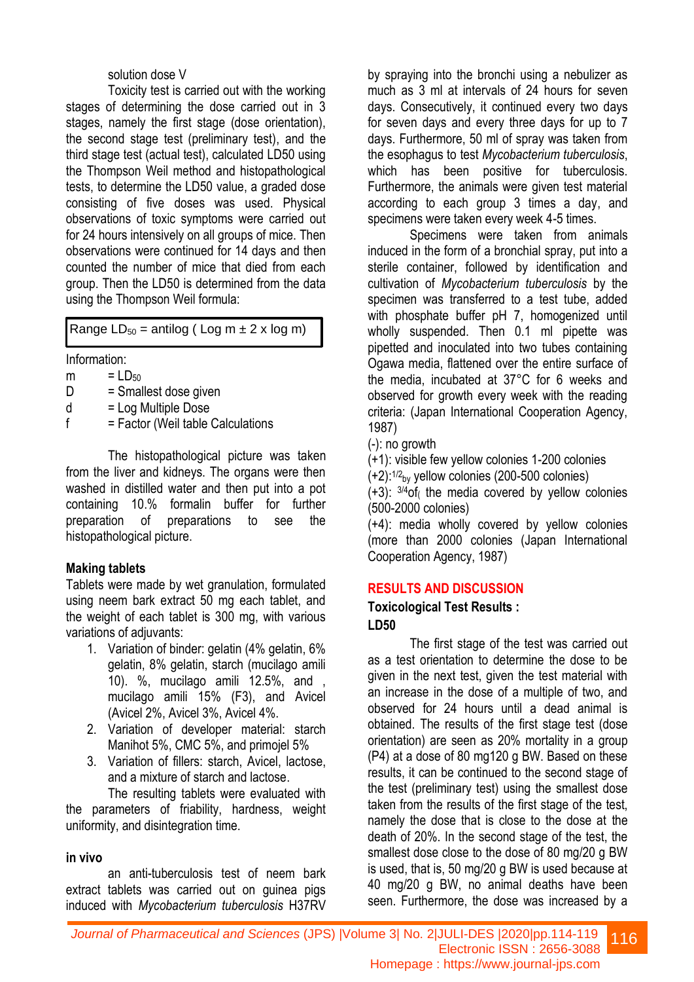#### solution dose V

Toxicity test is carried out with the working stages of determining the dose carried out in 3 stages, namely the first stage (dose orientation), the second stage test (preliminary test), and the third stage test (actual test), calculated LD50 using the Thompson Weil method and histopathological tests, to determine the LD50 value, a graded dose consisting of five doses was used. Physical observations of toxic symptoms were carried out for 24 hours intensively on all groups of mice. Then observations were continued for 14 days and then counted the number of mice that died from each group. Then the LD50 is determined from the data using the Thompson Weil formula:

Range  $LD_{50}$  = antilog (Log m  $\pm$  2 x log m)

Information:

 $m = LD<sub>50</sub>$ 

 $D =$ Smallest dose given

 $d = Log$  Multiple Dose

 $f = Factor$  (Weil table Calculations

The histopathological picture was taken from the liver and kidneys. The organs were then washed in distilled water and then put into a pot containing 10.% formalin buffer for further preparation of preparations to see the histopathological picture.

#### **Making tablets**

Tablets were made by wet granulation, formulated using neem bark extract 50 mg each tablet, and the weight of each tablet is 300 mg, with various variations of adjuvants:

- 1. Variation of binder: gelatin (4% gelatin, 6% gelatin, 8% gelatin, starch (mucilago amili 10). %, mucilago amili 12.5%, and , mucilago amili 15% (F3), and Avicel (Avicel 2%, Avicel 3%, Avicel 4%.
- 2. Variation of developer material: starch Manihot 5%, CMC 5%, and primojel 5%
- 3. Variation of fillers: starch, Avicel, lactose, and a mixture of starch and lactose.

The resulting tablets were evaluated with the parameters of friability, hardness, weight uniformity, and disintegration time.

#### **in vivo**

an anti-tuberculosis test of neem bark extract tablets was carried out on guinea pigs induced with *Mycobacterium tuberculosis* H37RV

by spraying into the bronchi using a nebulizer as much as 3 ml at intervals of 24 hours for seven days. Consecutively, it continued every two days for seven days and every three days for up to 7 days. Furthermore, 50 ml of spray was taken from the esophagus to test *Mycobacterium tuberculosis*, which has been positive for tuberculosis. Furthermore, the animals were given test material according to each group 3 times a day, and specimens were taken every week 4-5 times.

Specimens were taken from animals induced in the form of a bronchial spray, put into a sterile container, followed by identification and cultivation of *Mycobacterium tuberculosis* by the specimen was transferred to a test tube, added with phosphate buffer pH 7, homogenized until wholly suspended. Then 0.1 ml pipette was pipetted and inoculated into two tubes containing Ogawa media, flattened over the entire surface of the media, incubated at 37°C for 6 weeks and observed for growth every week with the reading criteria: (Japan International Cooperation Agency, 1987)

(-): no growth

(+1): visible few yellow colonies 1-200 colonies

 $(+2)$ :<sup>1/2</sup><sub>by</sub> yellow colonies (200-500 colonies)

 $(+3)$ :  $3/4$ of the media covered by vellow colonies (500-2000 colonies)

(+4): media wholly covered by yellow colonies (more than 2000 colonies (Japan International Cooperation Agency, 1987)

#### **RESULTS AND DISCUSSION**

#### **Toxicological Test Results : LD50**

The first stage of the test was carried out as a test orientation to determine the dose to be given in the next test, given the test material with an increase in the dose of a multiple of two, and observed for 24 hours until a dead animal is obtained. The results of the first stage test (dose orientation) are seen as 20% mortality in a group (P4) at a dose of 80 mg120 g BW. Based on these results, it can be continued to the second stage of the test (preliminary test) using the smallest dose taken from the results of the first stage of the test, namely the dose that is close to the dose at the death of 20%. In the second stage of the test, the smallest dose close to the dose of 80 mg/20 g BW is used, that is, 50 mg/20 g BW is used because at 40 mg/20 g BW, no animal deaths have been seen. Furthermore, the dose was increased by a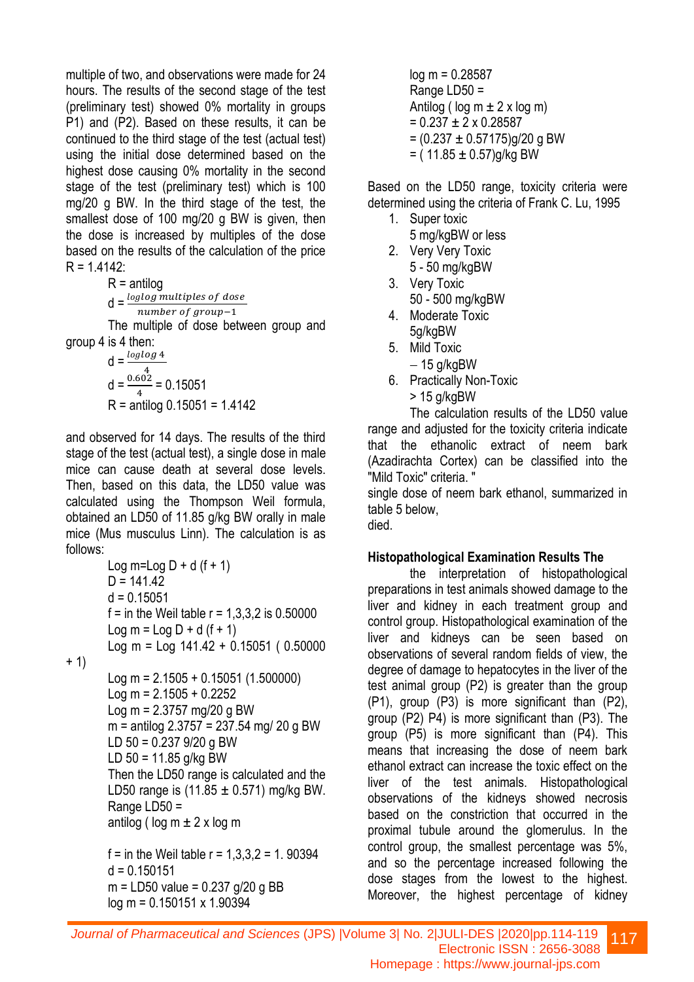multiple of two, and observations were made for 24 hours. The results of the second stage of the test (preliminary test) showed 0% mortality in groups P1) and (P2). Based on these results, it can be continued to the third stage of the test (actual test) using the initial dose determined based on the highest dose causing 0% mortality in the second stage of the test (preliminary test) which is 100 mg/20 g BW. In the third stage of the test, the smallest dose of 100 mg/20 g BW is given, then the dose is increased by multiples of the dose based on the results of the calculation of the price  $R = 1.4142$ :

 $R =$ antilog

 $d = \frac{loglog$  multiples of dose number of group-1

The multiple of dose between group and group 4 is 4 then:

d = 
$$
\frac{\log \log 4}{4}
$$
  
d =  $\frac{0.602}{4}$  = 0.15051  
R = antilog 0.15051 = 1.4142

and observed for 14 days. The results of the third stage of the test (actual test), a single dose in male mice can cause death at several dose levels. Then, based on this data, the LD50 value was calculated using the Thompson Weil formula, obtained an LD50 of 11.85 g/kg BW orally in male mice (Mus musculus Linn). The calculation is as follows:

Log m=Log D + d (f + 1) D = 141.42 d = 0.15051 f = in the Weil table r = 1,3,3,2 is 0.50000 Log m = Log D + d (f + 1) Log m = Log 141.42 + 0.15051 ( 0.50000

+ 1)

Log m = 2.1505 + 0.15051 (1.500000)  $Log m = 2.1505 + 0.2252$  $Log m = 2.3757 mg/20 g BW$ m = antilog 2.3757 = 237.54 mg/ 20 g BW LD 50 = 0.237 9/20 g BW LD 50 = 11.85 g/kg BW Then the LD50 range is calculated and the LD50 range is  $(11.85 \pm 0.571)$  mg/kg BW. Range LD50 = antilog ( $log m \pm 2 \times log m$ 

f = in the Weil table  $r = 1,3,3,2 = 1$ . 90394  $d = 0.150151$ m = LD50 value = 0.237 g/20 g BB log m = 0.150151 x 1.90394

log m = 0.28587 Range LD50 = Antilog ( $log m \pm 2 \times log m$ )  $= 0.237 \pm 2 \times 0.28587$  $=(0.237 \pm 0.57175)$ g/20 g BW  $=$  (11.85  $\pm$  0.57)g/kg BW

Based on the LD50 range, toxicity criteria were determined using the criteria of Frank C. Lu, 1995

- 1. Super toxic 5 mg/kgBW or less
- 2. Very Very Toxic 5 - 50 mg/kgBW
- 3. Very Toxic 50 - 500 mg/kgBW
- 4. Moderate Toxic 5g/kgBW
- 5. Mild Toxic
- − 15 g/kgBW
- 6. Practically Non-Toxic > 15 g/kgBW

The calculation results of the LD50 value range and adjusted for the toxicity criteria indicate that the ethanolic extract of neem bark (Azadirachta Cortex) can be classified into the "Mild Toxic" criteria. "

single dose of neem bark ethanol, summarized in table 5 below,

died.

### **Histopathological Examination Results The**

the interpretation of histopathological preparations in test animals showed damage to the liver and kidney in each treatment group and control group. Histopathological examination of the liver and kidneys can be seen based on observations of several random fields of view, the degree of damage to hepatocytes in the liver of the test animal group (P2) is greater than the group (P1), group (P3) is more significant than (P2), group (P2) P4) is more significant than (P3). The group (P5) is more significant than (P4). This means that increasing the dose of neem bark ethanol extract can increase the toxic effect on the liver of the test animals. Histopathological observations of the kidneys showed necrosis based on the constriction that occurred in the proximal tubule around the glomerulus. In the control group, the smallest percentage was 5%, and so the percentage increased following the dose stages from the lowest to the highest. Moreover, the highest percentage of kidney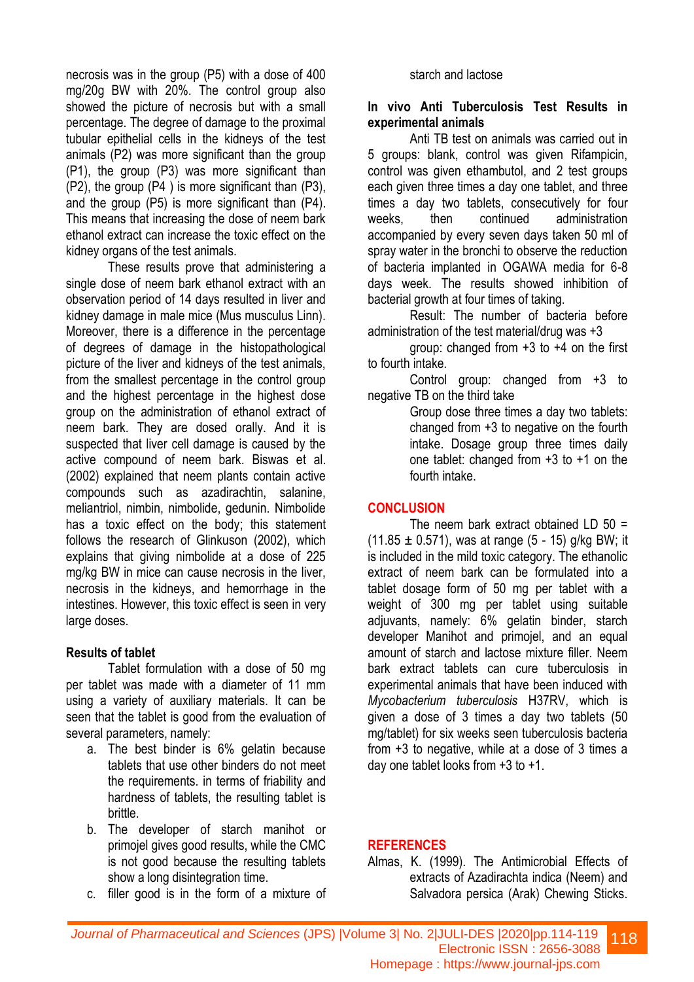necrosis was in the group (P5) with a dose of 400 mg/20g BW with 20%. The control group also showed the picture of necrosis but with a small percentage. The degree of damage to the proximal tubular epithelial cells in the kidneys of the test animals (P2) was more significant than the group (P1), the group (P3) was more significant than (P2), the group (P4 ) is more significant than (P3), and the group (P5) is more significant than (P4). This means that increasing the dose of neem bark ethanol extract can increase the toxic effect on the kidney organs of the test animals.

These results prove that administering a single dose of neem bark ethanol extract with an observation period of 14 days resulted in liver and kidney damage in male mice (Mus musculus Linn). Moreover, there is a difference in the percentage of degrees of damage in the histopathological picture of the liver and kidneys of the test animals, from the smallest percentage in the control group and the highest percentage in the highest dose group on the administration of ethanol extract of neem bark. They are dosed orally. And it is suspected that liver cell damage is caused by the active compound of neem bark. Biswas et al. (2002) explained that neem plants contain active compounds such as azadirachtin, salanine, meliantriol, nimbin, nimbolide, gedunin. Nimbolide has a toxic effect on the body; this statement follows the research of Glinkuson (2002), which explains that giving nimbolide at a dose of 225 mg/kg BW in mice can cause necrosis in the liver, necrosis in the kidneys, and hemorrhage in the intestines. However, this toxic effect is seen in very large doses.

#### **Results of tablet**

Tablet formulation with a dose of 50 mg per tablet was made with a diameter of 11 mm using a variety of auxiliary materials. It can be seen that the tablet is good from the evaluation of several parameters, namely:

- a. The best binder is 6% gelatin because tablets that use other binders do not meet the requirements. in terms of friability and hardness of tablets, the resulting tablet is brittle.
- b. The developer of starch manihot or primojel gives good results, while the CMC is not good because the resulting tablets show a long disintegration time.
- c. filler good is in the form of a mixture of

#### starch and lactose

#### **In vivo Anti Tuberculosis Test Results in experimental animals**

Anti TB test on animals was carried out in 5 groups: blank, control was given Rifampicin, control was given ethambutol, and 2 test groups each given three times a day one tablet, and three times a day two tablets, consecutively for four weeks, then continued administration accompanied by every seven days taken 50 ml of spray water in the bronchi to observe the reduction of bacteria implanted in OGAWA media for 6-8 days week. The results showed inhibition of bacterial growth at four times of taking.

Result: The number of bacteria before administration of the test material/drug was +3

group: changed from +3 to +4 on the first to fourth intake.

Control group: changed from +3 to negative TB on the third take

Group dose three times a day two tablets: changed from +3 to negative on the fourth intake. Dosage group three times daily one tablet: changed from +3 to +1 on the fourth intake.

#### **CONCLUSION**

The neem bark extract obtained LD 50 =  $(11.85 \pm 0.571)$ , was at range  $(5 - 15)$  g/kg BW; it is included in the mild toxic category. The ethanolic extract of neem bark can be formulated into a tablet dosage form of 50 mg per tablet with a weight of 300 mg per tablet using suitable adjuvants, namely: 6% gelatin binder, starch developer Manihot and primojel, and an equal amount of starch and lactose mixture filler. Neem bark extract tablets can cure tuberculosis in experimental animals that have been induced with *Mycobacterium tuberculosis* H37RV, which is given a dose of 3 times a day two tablets (50 mg/tablet) for six weeks seen tuberculosis bacteria from +3 to negative, while at a dose of 3 times a day one tablet looks from +3 to +1.

#### **REFERENCES**

Almas, K. (1999). The Antimicrobial Effects of extracts of Azadirachta indica (Neem) and Salvadora persica (Arak) Chewing Sticks.